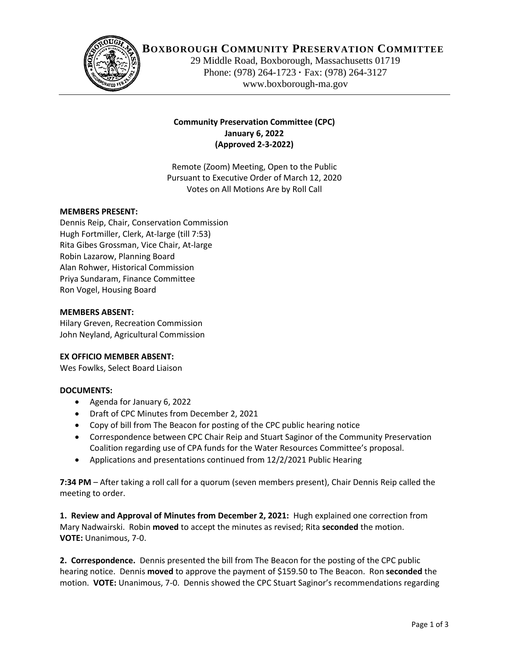

# **BOXBOROUGH COMMUNITY PRESERVATION COMMITTEE**

29 Middle Road, Boxborough, Massachusetts 01719 Phone: (978) 264-1723 **·** Fax: (978) 264-3127 www.boxborough-ma.gov

# **Community Preservation Committee (CPC) January 6, 2022 (Approved 2-3-2022)**

Remote (Zoom) Meeting, Open to the Public Pursuant to Executive Order of March 12, 2020 Votes on All Motions Are by Roll Call

# **MEMBERS PRESENT:**

Dennis Reip, Chair, Conservation Commission Hugh Fortmiller, Clerk, At-large (till 7:53) Rita Gibes Grossman, Vice Chair, At-large Robin Lazarow, Planning Board Alan Rohwer, Historical Commission Priya Sundaram, Finance Committee Ron Vogel, Housing Board

#### **MEMBERS ABSENT:**

Hilary Greven, Recreation Commission John Neyland, Agricultural Commission

### **EX OFFICIO MEMBER ABSENT:**

Wes Fowlks, Select Board Liaison

#### **DOCUMENTS:**

- Agenda for January 6, 2022
- Draft of CPC Minutes from December 2, 2021
- Copy of bill from The Beacon for posting of the CPC public hearing notice
- Correspondence between CPC Chair Reip and Stuart Saginor of the Community Preservation Coalition regarding use of CPA funds for the Water Resources Committee's proposal.
- Applications and presentations continued from 12/2/2021 Public Hearing

**7:34 PM** – After taking a roll call for a quorum (seven members present), Chair Dennis Reip called the meeting to order.

**1. Review and Approval of Minutes from December 2, 2021:** Hugh explained one correction from Mary Nadwairski. Robin **moved** to accept the minutes as revised; Rita **seconded** the motion. **VOTE:** Unanimous, 7-0.

**2. Correspondence.** Dennis presented the bill from The Beacon for the posting of the CPC public hearing notice. Dennis **moved** to approve the payment of \$159.50 to The Beacon. Ron **seconded** the motion. **VOTE:** Unanimous, 7-0. Dennis showed the CPC Stuart Saginor's recommendations regarding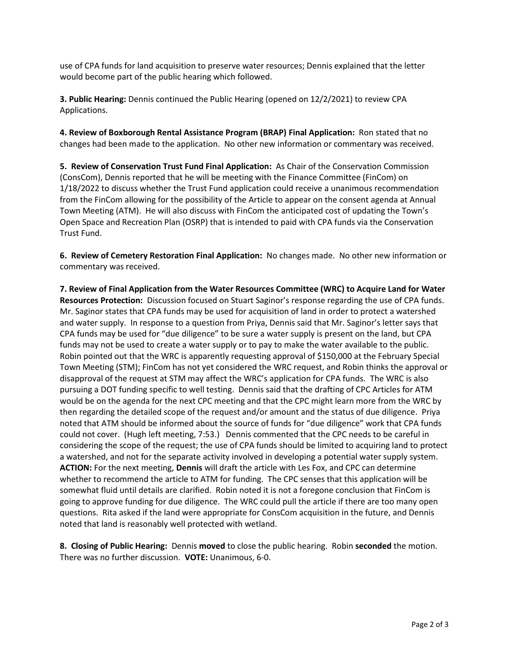use of CPA funds for land acquisition to preserve water resources; Dennis explained that the letter would become part of the public hearing which followed.

**3. Public Hearing:** Dennis continued the Public Hearing (opened on 12/2/2021) to review CPA Applications.

**4. Review of Boxborough Rental Assistance Program (BRAP) Final Application:** Ron stated that no changes had been made to the application. No other new information or commentary was received.

**5. Review of Conservation Trust Fund Final Application:** As Chair of the Conservation Commission (ConsCom), Dennis reported that he will be meeting with the Finance Committee (FinCom) on 1/18/2022 to discuss whether the Trust Fund application could receive a unanimous recommendation from the FinCom allowing for the possibility of the Article to appear on the consent agenda at Annual Town Meeting (ATM). He will also discuss with FinCom the anticipated cost of updating the Town's Open Space and Recreation Plan (OSRP) that is intended to paid with CPA funds via the Conservation Trust Fund.

**6. Review of Cemetery Restoration Final Application:** No changes made. No other new information or commentary was received.

**7. Review of Final Application from the Water Resources Committee (WRC) to Acquire Land for Water Resources Protection:** Discussion focused on Stuart Saginor's response regarding the use of CPA funds. Mr. Saginor states that CPA funds may be used for acquisition of land in order to protect a watershed and water supply. In response to a question from Priya, Dennis said that Mr. Saginor's letter says that CPA funds may be used for "due diligence" to be sure a water supply is present on the land, but CPA funds may not be used to create a water supply or to pay to make the water available to the public. Robin pointed out that the WRC is apparently requesting approval of \$150,000 at the February Special Town Meeting (STM); FinCom has not yet considered the WRC request, and Robin thinks the approval or disapproval of the request at STM may affect the WRC's application for CPA funds. The WRC is also pursuing a DOT funding specific to well testing. Dennis said that the drafting of CPC Articles for ATM would be on the agenda for the next CPC meeting and that the CPC might learn more from the WRC by then regarding the detailed scope of the request and/or amount and the status of due diligence. Priya noted that ATM should be informed about the source of funds for "due diligence" work that CPA funds could not cover. (Hugh left meeting, 7:53.) Dennis commented that the CPC needs to be careful in considering the scope of the request; the use of CPA funds should be limited to acquiring land to protect a watershed, and not for the separate activity involved in developing a potential water supply system. **ACTION:** For the next meeting, **Dennis** will draft the article with Les Fox, and CPC can determine whether to recommend the article to ATM for funding. The CPC senses that this application will be somewhat fluid until details are clarified. Robin noted it is not a foregone conclusion that FinCom is going to approve funding for due diligence. The WRC could pull the article if there are too many open questions. Rita asked if the land were appropriate for ConsCom acquisition in the future, and Dennis noted that land is reasonably well protected with wetland.

**8. Closing of Public Hearing:** Dennis **moved** to close the public hearing. Robin **seconded** the motion. There was no further discussion. **VOTE:** Unanimous, 6-0.